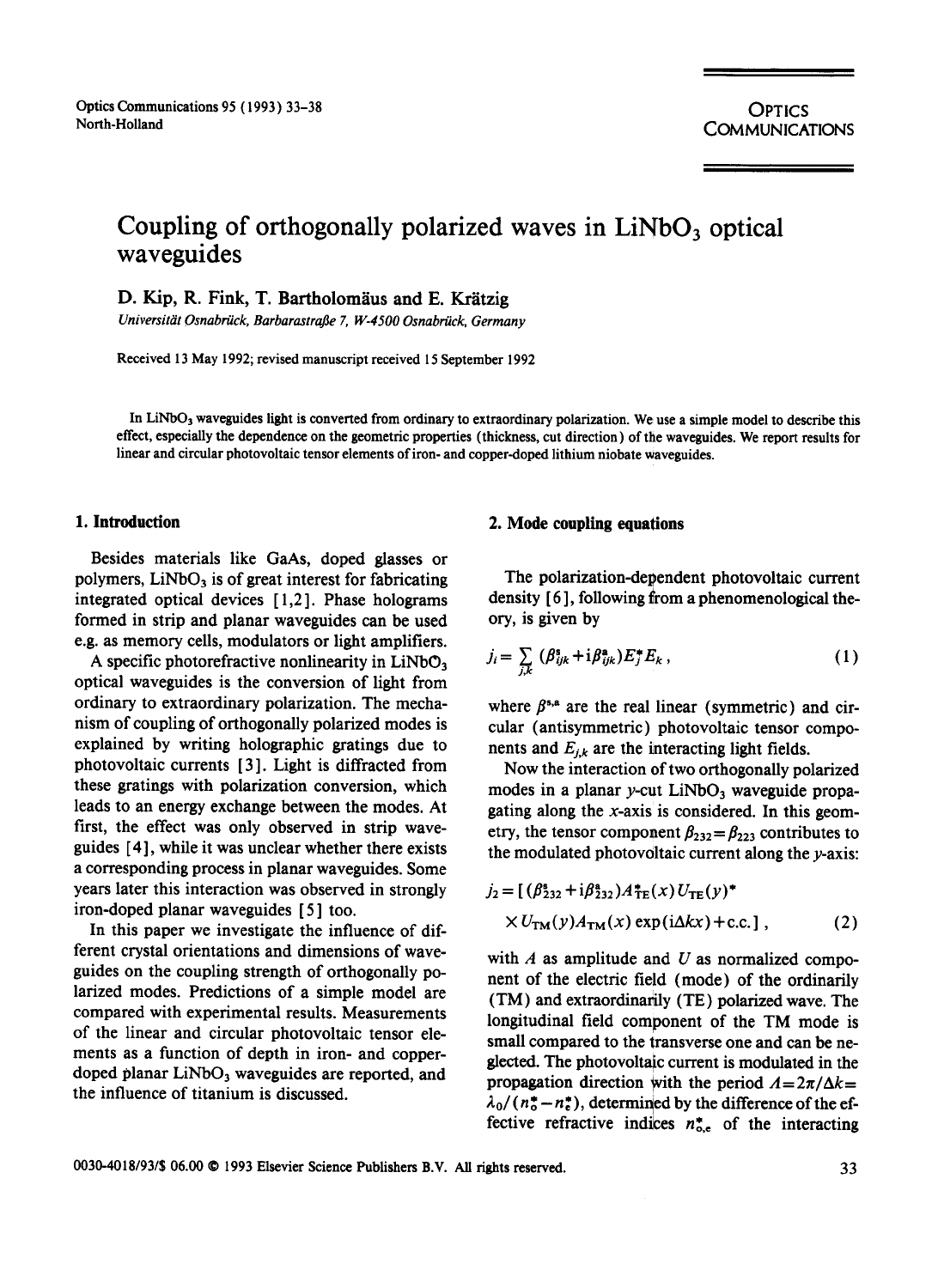**OPTICS** COMMUNICATIONS

# Coupling of orthogonally polarized waves in LiNbO<sub>3</sub> optical **waveguides**

D. Kip, R. Fink, T. Bartholomäus and E. Krätzig

*Universitiit Osnabriick, Barbarastrafle 7, W-4500 Osnabriick, Germany* 

Received 13 May 1992; revised manuscript received 15 September 1992

In LiNbO<sub>3</sub> waveguides light is converted from ordinary to extraordinary polarization. We use a simple model to describe this effect, especially the dependence on the geometric properties (thickness, cut direction) of the waveguides. We report results for linear and circular photovoltaie tensor elements of iron- and copper-doped lithium niobate waveguides.

Besides materials like GaAs, doped glasses or polymers,  $LiNbO<sub>3</sub>$  is of great interest for fabricating integrated optical devices [ 1,2]. Phase holograms formed in strip and planar waveguides can be used e.g. as memory cells, modulators or light amplifiers.

A specific photorefractive nonlinearity in  $LiNbO<sub>3</sub>$ optical waveguides is the conversion of light from ordinary to extraordinary polarization. The mechanism of coupling of orthogonally polarized modes is explained by writing holographic gratings due to photovoltaic currents [3]. Light is diffracted from these gratings with polarization conversion, which leads to an energy exchange between the modes. At first, the effect was only observed in strip waveguides [ 4 ], while it was unclear whether there exists a corresponding process in planar waveguides. Some years later this interaction was observed in strongly iron-doped planar waveguides [ 5 ] too.

In this paper we investigate the influence of different crystal orientations and dimensions of waveguides on the coupling strength of orthogonally polarized modes. Predictions of a simple model are compared with experimental results. Measurements of the linear and circular photovoltaic tensor elements as a function of depth in iron- and copperdoped planar LiNbO<sub>3</sub> waveguides are reported, and the influence of titanium is discussed.

## **1. Introduction 2. Mode coupling equations**

The polarization-dependent photovoltaic current density [6], following from a phenomenological theory, is given by

$$
j_i = \sum_{j,k} \left( \beta_{ijk}^* + i \beta_{ijk}^* \right) E_j^* E_k \,, \tag{1}
$$

where  $\beta^{s,a}$  are the real linear (symmetric) and circular (antisymmetric) photovoltaic tensor components and  $E_{j,k}$  are the interacting light fields.

Now the interaction of two orthogonally polarized modes in a planar y-cut  $LiNbO<sub>3</sub>$  waveguide propagating along the  $x$ -axis is considered. In this geometry, the tensor component  $\beta_{232} = \beta_{223}$  contributes to the modulated photovoltaic current along the  $\nu$ -axis:

$$
j_2 = [(\beta_{232}^s + i\beta_{232}^s)A_{TE}^*(x)U_{TE}(y)^* \times U_{TM}(y)A_{TM}(x) \exp(i\Delta kx) + c.c.]
$$
 (2)

with  $A$  as amplitude and  $U$  as normalized component of the electric field (mode) of the ordinarily (TM) and extraordinarily (TE) polarized wave. The longitudinal field component of the TM mode is small compared to the transverse one and can be neglected. The photovoltaic current is modulated in the propagation direction with the period  $A = 2\pi/\Delta k =$  $\lambda_0/(n_o^* - n_e^*)$ , determined by the difference of the effective refractive indices  $n_{\text{o.e}}^*$  of the interacting

0030-4018/93/\$ 06.00 © 1993 Elsevier Science Publishers B.V. All rights reserved. 33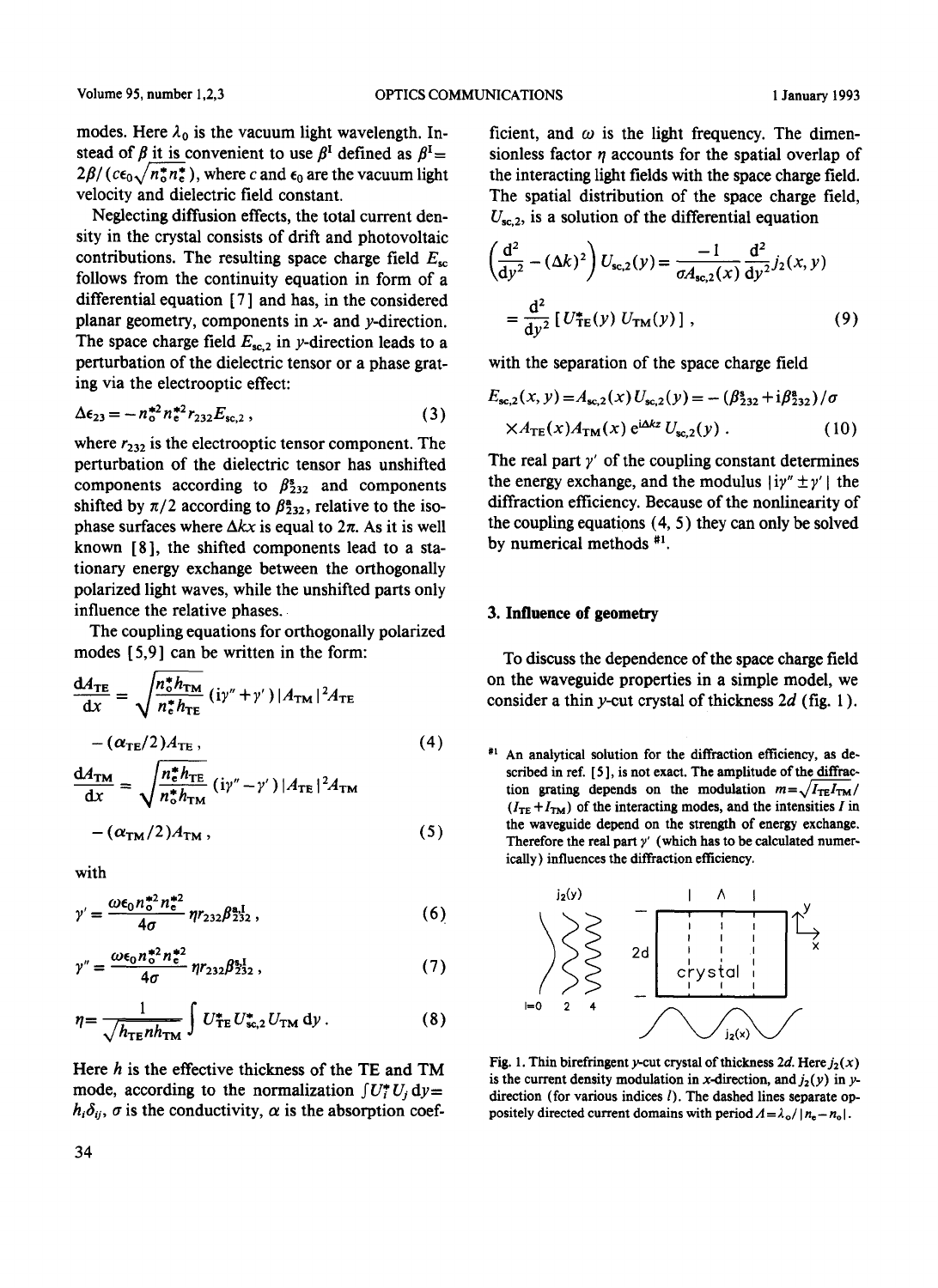modes. Here  $\lambda_0$  is the vacuum light wavelength. Instead of  $\beta$  it is convenient to use  $\beta^I$  defined as  $\beta^I$  =  $2\beta/(c\epsilon_0\sqrt{n_0^*n_e^*})$ , where c and  $\epsilon_0$  are the vacuum light velocity and dielectric field constant.

Neglecting diffusion effects, the total current density in the crystal consists of drift and photovoltaic contributions. The resulting space charge field  $E_{sc}$ follows from the continuity equation in form of a differential equation [7] and has, in the considered planar geometry, components in  $x$ - and  $y$ -direction. The space charge field  $E_{\rm sc,2}$  in y-direction leads to a perturbation of the dielectric tensor or a phase grating via the electrooptic effect:

$$
\Delta \epsilon_{23} = -n_0^{*2} n_e^{*2} r_{232} E_{\text{sc},2} , \qquad (3)
$$

where  $r_{232}$  is the electrooptic tensor component. The perturbation of the dielectric tensor has unshifted components according to  $\beta_{232}^s$  and components shifted by  $\pi/2$  according to  $\beta_{232}^2$ , relative to the isophase surfaces where  $\Delta kx$  is equal to  $2\pi$ . As it is well known [8], the shifted components lead to a stationary energy exchange between the orthogonally polarized light waves, while the unshifted parts only influence the relative phases.

The coupling equations for orthogonally polarized modes  $[5,9]$  can be written in the form:

$$
\frac{dA_{\text{TE}}}{dx} = \sqrt{\frac{n_o^* h_{\text{TM}}}{n_o^* h_{\text{TE}}}} (i\gamma'' + \gamma') |A_{\text{TM}}|^2 A_{\text{TE}}
$$
  
-(\alpha\_{\text{TE}}/2)A\_{\text{TE}},  

$$
\frac{dA_{\text{TM}}}{dx} = \sqrt{\frac{n_o^* h_{\text{TE}}}{n_o^* h_{\text{TM}}}} (i\gamma'' - \gamma') |A_{\text{TE}}|^2 A_{\text{TM}} \tag{4}
$$
  
-(\alpha\_{\text{TM}}/2)A\_{\text{TM}} , (5)

$$
-(\alpha_{\rm TM}/2)A_{\rm TM}\,,
$$

with

$$
\gamma' = \frac{\omega \epsilon_0 n_0^{*2} n_e^{*2}}{4\sigma} \eta r_{232} \beta_{232}^{\mathrm{a},\mathrm{I}}, \tag{6}
$$

$$
\gamma'' = \frac{\omega \epsilon_0 n_0^{*2} n_e^{*2}}{4\sigma} \eta r_{232} \beta_{232}^{*1}, \qquad (7)
$$

$$
\eta = \frac{1}{\sqrt{h_{\rm TE}nh_{\rm TM}}} \int U_{\rm TE}^* U_{\rm sc,2}^* U_{\rm TM} \, \mathrm{d}y \,. \tag{8}
$$

Here  $h$  is the effective thickness of the TE and TM mode, according to the normalization  $\int U_i^* U_i dy =$  $h_i \delta_{ij}$ ,  $\sigma$  is the conductivity,  $\alpha$  is the absorption coefficient, and  $\omega$  is the light frequency. The dimensionless factor  $n$  accounts for the spatial overlap of the interacting light fields with the space charge field. The spatial distribution of the space charge field,  $U_{sc,2}$ , is a solution of the differential equation

$$
\left(\frac{d^2}{dy^2} - (\Delta k)^2\right) U_{sc,2}(y) = \frac{-1}{\sigma A_{sc,2}(x)} \frac{d^2}{dy^2} j_2(x, y)
$$

$$
= \frac{d^2}{dy^2} \left[U_{TE}^*(y) U_{TM}(y)\right], \tag{9}
$$

with the separation of the space charge field

$$
E_{\text{sc},2}(x, y) = A_{\text{sc},2}(x) U_{\text{sc},2}(y) = -(\beta_{232}^* + i\beta_{232}^*)/\sigma
$$
  
 
$$
\times A_{\text{TE}}(x) A_{\text{TM}}(x) e^{i\Delta k z} U_{\text{sc},2}(y) .
$$
 (10)

The real part  $y'$  of the coupling constant determines the energy exchange, and the modulus  $|i\gamma'' \pm \gamma'|$  the diffraction efficiency. Because of the nonlinearity of the coupling equations  $(4, 5)$  they can only be solved by numerical methods #1.

#### 3. Influence of geometry

To discuss the dependence of the space charge field on the waveguide properties in a simple model, we consider a thin y-cut crystal of thickness  $2d$  (fig. 1).

<sup>#1</sup> An analytical solution for the diffraction efficiency, as described in ref. [5], is not exact. The amplitude of the diffraction grating depends on the modulation  $m = \sqrt{I_{TE}I_{TM}}/I_{T}$  $(I_{TE} + I_{TM})$  of the interacting modes, and the intensities I in the waveguide depend on the strength of energy exchange. Therefore the real part  $y'$  (which has to be calculated numerically) influences the diffraction efficiency.



Fig. 1. Thin birefringent y-cut crystal of thickness 2d. Here  $j_2(x)$ is the current density modulation in x-direction, and  $j_2(y)$  in ydirection (for various indices  $l$ ). The dashed lines separate oppositely directed current domains with period  $\Lambda = \lambda_o / |n_e - n_o|$ .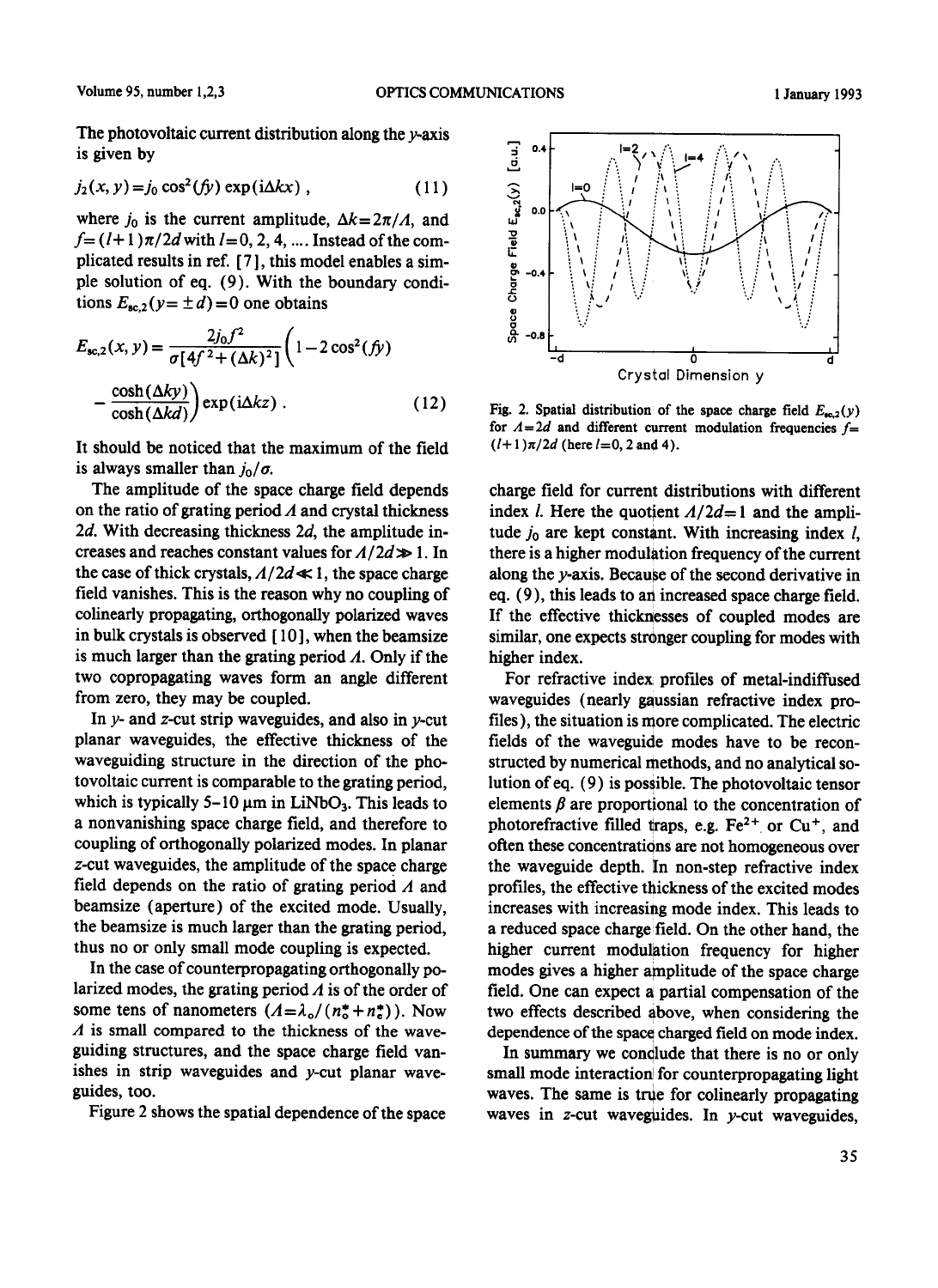The photovoltaic current distribution along the  $\nu$ -axis is given by

$$
j_2(x, y) = j_0 \cos^2(fy) \exp(i\Delta kx) , \qquad (11)
$$

where  $j_0$  is the current amplitude,  $\Delta k = 2\pi/A$ , and  $f = (l+1)\pi/2d$  with  $l = 0, 2, 4, ...$  Instead of the complicated results in ref. [ 7 ], this model enables a simple solution of eq. (9). With the boundary conditions  $E_{\text{sc},2}(y=\pm d)=0$  one obtains

$$
E_{\text{sc},2}(x, y) = \frac{2j_0 f^2}{\sigma [4f^2 + (\Delta k)^2]} \left(1 - 2\cos^2(fy)\right)
$$

$$
-\frac{\cosh(\Delta k y)}{\cosh(\Delta k d)} \exp(i\Delta k z) . \tag{12}
$$

It should be noticed that the maximum of the field is always smaller than  $j_0/\sigma$ .

The amplitude of the space charge field depends on the ratio of grating period  $\Lambda$  and crystal thickness 2d. With decreasing thickness  $2d$ , the amplitude increases and reaches constant values for  $A/2d \gg 1$ . In the case of thick crystals,  $A/2d \ll 1$ , the space charge field vanishes. This is the reason why no coupling of colinearly propagating, orthogonally polarized waves in bulk crystals is observed [ 10 ], when the beamsize is much larger than the grating period  $\Lambda$ . Only if the two copropagating waves form an angle different from zero, they may be coupled.

In  $y$ - and  $z$ -cut strip waveguides, and also in  $y$ -cut planar waveguides, the effective thickness of the waveguiding structure in the direction of the photovoltaic current is comparable to the grating period, which is typically 5-10  $\mu$ m in LiNbO<sub>3</sub>. This leads to a nonvanishing space charge field, and therefore to coupling of orthogonally polarized modes. In planar z-cut waveguides, the amplitude of the space charge field depends on the ratio of grating period  $\Lambda$  and beamsize (aperture) of the excited mode. Usually, the beamsize is much larger than the grating period, thus no or only small mode coupling is expected.

In the case of counterpropagating orthogonally polarized modes, the grating period  $\Lambda$  is of the order of some tens of nanometers  $(A = \lambda_0/(n_0^* + n_s^*))$ . Now  $\Lambda$  is small compared to the thickness of the waveguiding structures, and the space charge field vanishes in strip waveguides and y-cut planar waveguides, too.

Figure 2 shows the spatial dependence of the space



Fig. 2. Spatial distribution of the space charge field  $E_{\alpha/2}(y)$ for  $A = 2d$  and different current modulation frequencies  $f =$  $(l+1)\pi/2d$  (here  $l=0, 2$  and 4).

charge field for current distributions with different index *l*. Here the quotient  $A/2d=1$  and the amplitude  $j_0$  are kept constant. With increasing index  $l$ , there is a higher modulation frequency of the current along the y-axis. Because of the second derivative in eq. (9), this leads to an increased space charge field. If the effective thicknesses of coupled modes are similar, one expects stronger coupling for modes with higher index.

For refractive index profiles of metal-indiffused waveguides (nearly gaussian refractive index profiles), the situation is more complicated. The electric fields of the waveguide modes have to be reconstructed by numerical methods, and no analytical solution of eq. (9) is possible. The photovoltaic tensor elements  $\beta$  are proportional to the concentration of photorefractive filled traps, e.g.  $Fe<sup>2+</sup>$  or Cu<sup>+</sup>, and often these concentrations are not homogeneous over the waveguide depth. In non-step refractive index profiles, the effective thickness of the excited modes increases with increasing mode index. This leads to a reduced space charge field. On the other hand, the higher current modulation frequency for higher modes gives a higher amplitude of the space charge field. One can expect a partial compensation of the two effects described above, when considering the dependence of the space charged field on mode index.

In summary we conclude that there is no or only small mode interaction for counterpropagating light waves. The same is true for colinearly propagating waves in  $z$ -cut waveguides. In  $y$ -cut waveguides,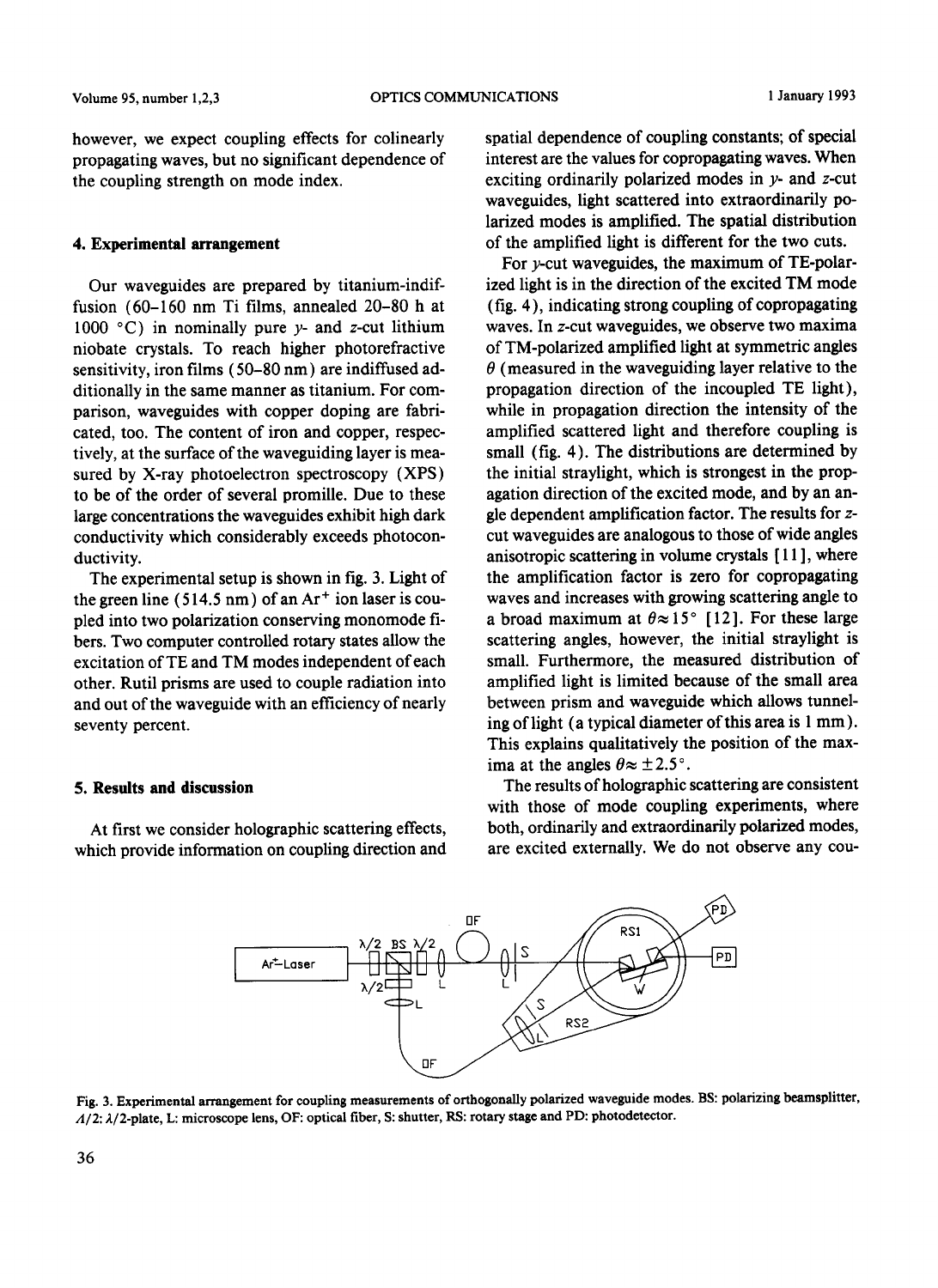however, we expect coupling effects for colinearly propagating waves, but no significant dependence of the coupling strength on mode index.

#### 4. Experimental arrangement

Our waveguides are prepared by titanium-indiffusion (60-160 nm Ti films, annealed 20-80 h at 1000 °C) in nominally pure  $y$ - and z-cut lithium niobate crystals. To reach higher photorefractive sensitivity, iron films (50-80 nm) are indiffused additionally in the same manner as titanium. For comparison, wavegnides with copper doping are fabricated, too. The content of iron and copper, respectively, at the surface of the waveguiding layer is measured by X-ray photoelectron spectroscopy (XPS) to be of the order of several promille. Due to these large concentrations the waveguides exhibit high dark conductivity which considerably exceeds photoconductivity.

The experimental setup is shown in fig. 3. Light of the green line (514.5 nm) of an  $Ar<sup>+</sup>$  ion laser is coupled into two polarization conserving monomode fibers. Two computer controlled rotary states allow the excitation of TE and TM modes independent of each other. Rutil prisms are used to couple radiation into and out of the waveguide with an efficiency of nearly seventy percent.

### **5. Results and discussion**

At first we consider holographic scattering effects, which provide information on coupling direction and spatial dependence of coupling constants; of special interest are the values for copropagating waves. When exciting ordinarily polarized modes in  $y$ - and  $z$ -cut wavcguides, light scattered into extraordinarily polarized modes is amplified. The spatial distribution of the amplified light is different for the two cuts.

For  $y$ -cut waveguides, the maximum of TE-polarizcd light is in the direction of the excited TM mode (fig. 4 ), indicating strong coupling of copropagating waves. In z-cut waveguides, we observe two maxima of TM-polarized amplified light at symmetric angles  $\theta$  (measured in the waveguiding layer relative to the propagation direction of the incoupled TE light), while in propagation direction the intensity of the amplified scattered light and therefore coupling is small (fig. 4). The distributions are determined by the initial straylight, which is strongest in the propagation direction of the excited mode, and by an angle dependent amplification factor. The results for zcut wavcgnides are analogous to those of wide angles anisotropic scattering in volume crystals [ I 1 ], where the amplification factor is zero for copropagating waves and increases with growing scattering angle to a broad maximum at  $\theta \approx 15^{\circ}$  [12]. For these large scattering angles, however, the initial straylight is small. Furthermore, the measured distribution of amplified light is limited because of the small area between prism and waveguide which allows tunneling of light (a typical diameter of this area is 1 mm). This explains qualitatively the position of the maxima at the angles  $\theta \approx \pm 2.5$ °.

The results of holographic scattering are consistent with those of mode coupling experiments, where both, ordinarily and extraordinarily polarized modes, are excited externally. We do not observe any cou-



Fig. 3. Experimental arrangement for coupling measurements of orthogonally polarized waveguide modes. BS: polarizing beamsplitter, *A/2:* 2/2-plate, L: microscope lens, OF: optical fiber, S: shutter, RS: rotary stage and PD: photodetector.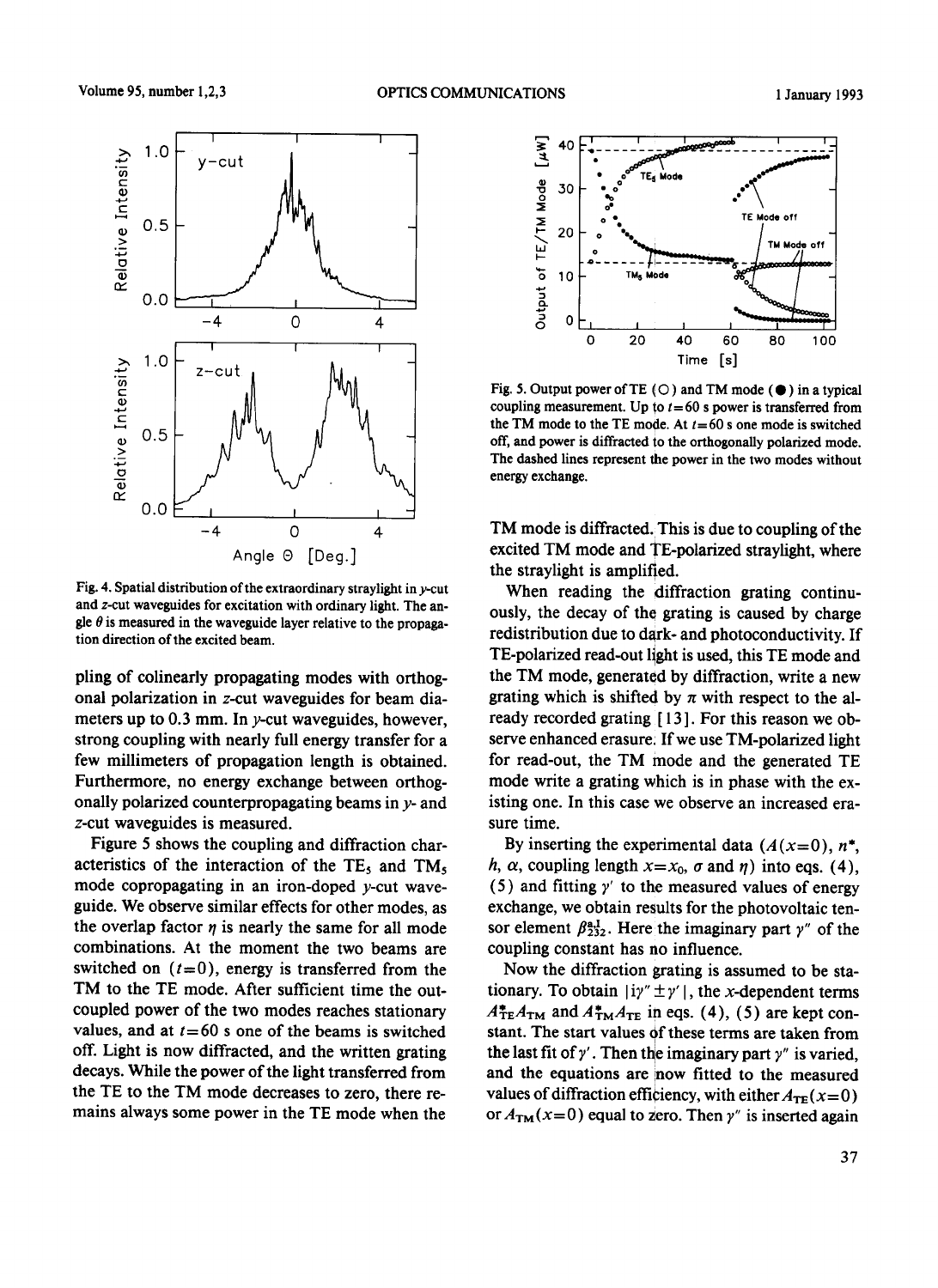

Fig. 4. Spatial distribution of the extraordinary straylight in y-cut and z-cut waveguides for excitation with ordinary light. The angle  $\theta$  is measured in the waveguide layer relative to the propagation direction of the excited beam.

piing of colinearly propagating modes with orthogonal polarization in z-cut waveguides for beam diameters up to  $0.3$  mm. In y-cut waveguides, however, strong coupling with nearly full energy transfer for a few millimeters of propagation length is obtained. Furthermore, no energy exchange between orthogonally polarized counterpropagating beams in  $y$ - and z-cut waveguides is measured.

Figure 5 shows the coupling and diffraction characteristics of the interaction of the  $TE<sub>5</sub>$  and  $TM<sub>5</sub>$ mode copropagating in an iron-doped y-cut waveguide. We observe similar effects for other modes, as the overlap factor  $\eta$  is nearly the same for all mode combinations. At the moment the two beams are switched on  $(t=0)$ , energy is transferred from the TM to the TE mode. After sufficient time the outcoupled power of the two modes reaches stationary values, and at  $t=60$  s one of the beams is switched off. Light is now diffracted, and the written grating decays. While the power of the light transferred from the TE to the TM mode decreases to zero, there remains always some power in the TE mode when the



Fig. 5. Output power of TE ( $\bigcirc$ ) and TM mode ( $\bigcirc$ ) in a typical coupling measurement. Up to  $t=60$  s power is transferred from the TM mode to the TE mode. At  $t=60$  s one mode is switched off, and power is diffracted io the orthogonally polarized mode. The dashed lines represent the power in the two modes without energy exchange.

TM mode is diffracted. This is due to coupling of the excited TM mode and TE-polarized straylight, where the straylight is amplified.

When reading the diffraction grating continuously, the decay of the grating is caused by charge redistribution due to dark- and photoconductivity. If TE-polarized read-out light is used, this TE mode and the TM mode, generated by diffraction, write a new grating which is shifted by  $\pi$  with respect to the already recorded grating [ 13 ]. For this reason we observe enhanced erasure: If we use TM-polarized light for read-out, the TM mode and the generated TE mode write a grating which is in phase with the existing one. In this case we observe an increased erasure time.

By inserting the experimental data  $(A(x=0), n^*$ , h,  $\alpha$ , coupling length  $x=x_0$ ,  $\sigma$  and  $\eta$ ) into eqs. (4), (5) and fitting  $\gamma'$  to the measured values of energy exchange, we obtain results for the photovoltaic tensor element  $\beta_{232}^{aI}$ . Here the imaginary part  $\gamma''$  of the coupling constant has no influence.

Now the diffraction grating is assumed to be stationary. To obtain  $|i\gamma'' \pm \gamma'|$ , the x-dependent terms  $A_{\text{TE}}^*A_{\text{TM}}$  and  $A_{\text{TM}}^*A_{\text{TE}}$  in eqs. (4), (5) are kept constant. The start values of these terms are taken from the last fit of  $\gamma'$ . Then the imaginary part  $\gamma''$  is varied, and the equations are inow fitted to the measured values of diffraction efficiency, with either  $A_{TE}(x=0)$ or  $A_{TM}(x=0)$  equal to zero. Then y" is inserted again